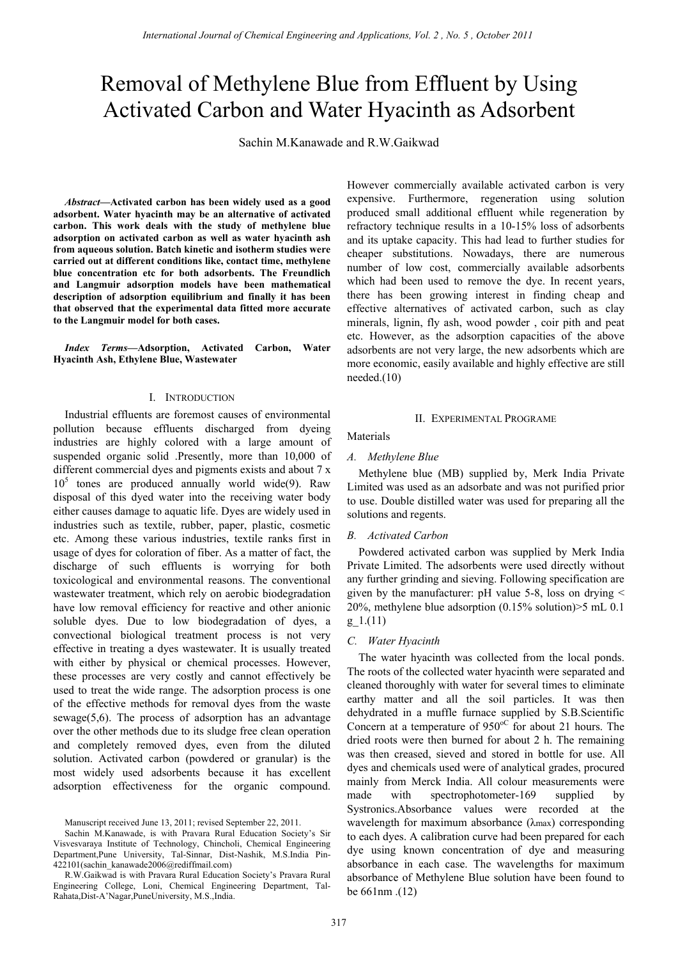# Removal of Methylene Blue from Effluent by Using Activated Carbon and Water Hyacinth as Adsorbent

Sachin M.Kanawade and R.W.Gaikwad

*Abstract***—Activated carbon has been widely used as a good adsorbent. Water hyacinth may be an alternative of activated carbon. This work deals with the study of methylene blue adsorption on activated carbon as well as water hyacinth ash from aqueous solution. Batch kinetic and isotherm studies were carried out at different conditions like, contact time, methylene blue concentration etc for both adsorbents. The Freundlich and Langmuir adsorption models have been mathematical description of adsorption equilibrium and finally it has been that observed that the experimental data fitted more accurate to the Langmuir model for both cases.** 

*Index Terms—***Adsorption, Activated Carbon, Water Hyacinth Ash, Ethylene Blue, Wastewater** 

## I. INTRODUCTION

Industrial effluents are foremost causes of environmental pollution because effluents discharged from dyeing industries are highly colored with a large amount of suspended organic solid .Presently, more than 10,000 of different commercial dyes and pigments exists and about 7 x 10<sup>5</sup> tones are produced annually world wide(9). Raw disposal of this dyed water into the receiving water body either causes damage to aquatic life. Dyes are widely used in industries such as textile, rubber, paper, plastic, cosmetic etc. Among these various industries, textile ranks first in usage of dyes for coloration of fiber. As a matter of fact, the discharge of such effluents is worrying for both toxicological and environmental reasons. The conventional wastewater treatment, which rely on aerobic biodegradation have low removal efficiency for reactive and other anionic soluble dyes. Due to low biodegradation of dyes, a convectional biological treatment process is not very effective in treating a dyes wastewater. It is usually treated with either by physical or chemical processes. However, these processes are very costly and cannot effectively be used to treat the wide range. The adsorption process is one of the effective methods for removal dyes from the waste sewage(5,6). The process of adsorption has an advantage over the other methods due to its sludge free clean operation and completely removed dyes, even from the diluted solution. Activated carbon (powdered or granular) is the most widely used adsorbents because it has excellent adsorption effectiveness for the organic compound.

However commercially available activated carbon is very expensive. Furthermore, regeneration using solution produced small additional effluent while regeneration by refractory technique results in a 10-15% loss of adsorbents and its uptake capacity. This had lead to further studies for cheaper substitutions. Nowadays, there are numerous number of low cost, commercially available adsorbents which had been used to remove the dye. In recent years, there has been growing interest in finding cheap and effective alternatives of activated carbon, such as clay minerals, lignin, fly ash, wood powder , coir pith and peat etc. However, as the adsorption capacities of the above adsorbents are not very large, the new adsorbents which are more economic, easily available and highly effective are still  $needed.(10)$ 

## II. EXPERIMENTAL PROGRAME

Materials

## *A. Methylene Blue*

Methylene blue (MB) supplied by, Merk India Private Limited was used as an adsorbate and was not purified prior to use. Double distilled water was used for preparing all the solutions and regents.

## *B. Activated Carbon*

Powdered activated carbon was supplied by Merk India Private Limited. The adsorbents were used directly without any further grinding and sieving. Following specification are given by the manufacturer: pH value 5-8, loss on drying < 20%, methylene blue adsorption (0.15% solution)>5 mL 0.1 g\_1.(11)

## *C. Water Hyacinth*

The water hyacinth was collected from the local ponds. The roots of the collected water hyacinth were separated and cleaned thoroughly with water for several times to eliminate earthy matter and all the soil particles. It was then dehydrated in a muffle furnace supplied by S.B.Scientific Concern at a temperature of  $950^{\circ}$  for about 21 hours. The dried roots were then burned for about 2 h. The remaining was then creased, sieved and stored in bottle for use. All dyes and chemicals used were of analytical grades, procured mainly from Merck India. All colour measurements were made with spectrophotometer-169 supplied by Systronics.Absorbance values were recorded at the wavelength for maximum absorbance (λmax) corresponding to each dyes. A calibration curve had been prepared for each dye using known concentration of dye and measuring absorbance in each case. The wavelengths for maximum absorbance of Methylene Blue solution have been found to be 661nm .(12)

Manuscript received June 13, 2011; revised September 22, 2011.

Sachin M.Kanawade, is with Pravara Rural Education Society's Sir Visvesvaraya Institute of Technology, Chincholi, Chemical Engineering Department,Pune University, Tal-Sinnar, Dist-Nashik, M.S.India Pin-422101(sachin\_kanawade2006@rediffmail.com)

R.W.Gaikwad is with Pravara Rural Education Society's Pravara Rural Engineering College, Loni, Chemical Engineering Department, Tal-Rahata,Dist-A'Nagar,PuneUniversity, M.S.,India.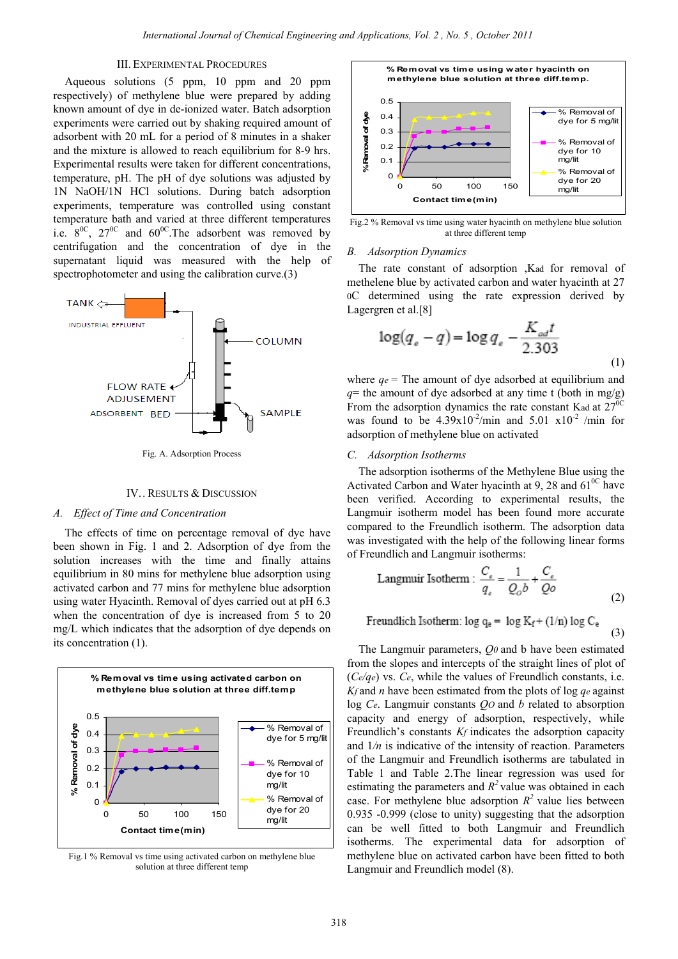# III. EXPERIMENTAL PROCEDURES

Aqueous solutions (5 ppm, 10 ppm and 20 ppm respectively) of methylene blue were prepared by adding known amount of dye in de-ionized water. Batch adsorption experiments were carried out by shaking required amount of adsorbent with 20 mL for a period of 8 minutes in a shaker and the mixture is allowed to reach equilibrium for 8-9 hrs. Experimental results were taken for different concentrations, temperature, pH. The pH of dye solutions was adjusted by 1N NaOH/1N HCl solutions. During batch adsorption experiments, temperature was controlled using constant temperature bath and varied at three different temperatures i.e.  $8^{0}$ C,  $27^{0}$ C and  $60^{0}$ C. The adsorbent was removed by centrifugation and the concentration of dye in the supernatant liquid was measured with the help of spectrophotometer and using the calibration curve.(3)



Fig. A. Adsorption Process

# IV.. RESULTS & DISCUSSION

#### *A. Effect of Time and Concentration*

The effects of time on percentage removal of dye have been shown in Fig. 1 and 2. Adsorption of dye from the solution increases with the time and finally attains equilibrium in 80 mins for methylene blue adsorption using activated carbon and 77 mins for methylene blue adsorption using water Hyacinth. Removal of dyes carried out at pH 6.3 when the concentration of dye is increased from 5 to 20 mg/L which indicates that the adsorption of dye depends on its concentration (1).



Fig.1 % Removal vs time using activated carbon on methylene blue solution at three different temp



Fig.2 % Removal vs time using water hyacinth on methylene blue solution at three different temp

#### *B. Adsorption Dynamics*

The rate constant of adsorption ,Kad for removal of methelene blue by activated carbon and water hyacinth at 27 0C determined using the rate expression derived by Lagergren et al.[8]

$$
\log(q_e - q) = \log q_e - \frac{K_{od}t}{2.303}
$$
 (1)

where  $q_e$  = The amount of dye adsorbed at equilibrium and  $q$ = the amount of dye adsorbed at any time t (both in mg/g) From the adsorption dynamics the rate constant Kad at  $27^{00}$ was found to be  $4.39 \times 10^{-2}$ /min and  $5.01 \times 10^{-2}$ /min for adsorption of methylene blue on activated

# *C. Adsorption Isotherms*

The adsorption isotherms of the Methylene Blue using the Activated Carbon and Water hyacinth at 9, 28 and  $61^{00}$  have been verified. According to experimental results, the Langmuir isotherm model has been found more accurate compared to the Freundlich isotherm. The adsorption data was investigated with the help of the following linear forms of Freundlich and Langmuir isotherms:

Langmuir Isotherm : 
$$
\frac{C_e}{q_e} = \frac{1}{Q_o b} + \frac{C_e}{Qo}
$$
 (2)

(3)

$$
Freundlich Isotherm: log q_e = log K_f + (1/n) log C_e
$$

The Langmuir parameters, *Q0* and b have been estimated from the slopes and intercepts of the straight lines of plot of (*Ce/qe*) vs. *Ce*, while the values of Freundlich constants, i.e. *Kf* and *n* have been estimated from the plots of log *qe* against log *Ce*. Langmuir constants *QO* and *b* related to absorption capacity and energy of adsorption, respectively, while Freundlich's constants *Kf* indicates the adsorption capacity and 1*/n* is indicative of the intensity of reaction. Parameters of the Langmuir and Freundlich isotherms are tabulated in Table 1 and Table 2.The linear regression was used for estimating the parameters and  $R^2$  value was obtained in each case. For methylene blue adsorption  $R^2$  value lies between 0.935 -0.999 (close to unity) suggesting that the adsorption can be well fitted to both Langmuir and Freundlich isotherms. The experimental data for adsorption of methylene blue on activated carbon have been fitted to both Langmuir and Freundlich model (8).